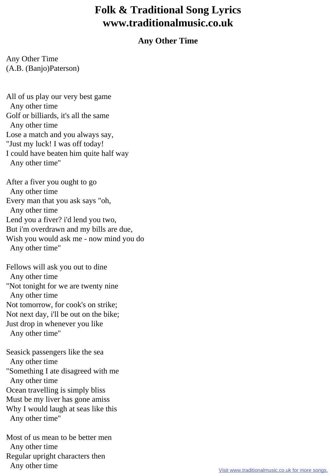## **Folk & Traditional Song Lyrics www.traditionalmusic.co.uk**

## **Any Other Time**

Any Other Time (A.B. (Banjo)Paterson)

All of us play our very best game Any other time Golf or billiards, it's all the same Any other time Lose a match and you always say, "Just my luck! I was off today! I could have beaten him quite half way Any other time"

After a fiver you ought to go Any other time Every man that you ask says "oh, Any other time Lend you a fiver? i'd lend you two, But i'm overdrawn and my bills are due, Wish you would ask me - now mind you do Any other time"

Fellows will ask you out to dine Any other time "Not tonight for we are twenty nine Any other time Not tomorrow, for cook's on strike; Not next day, i'll be out on the bike; Just drop in whenever you like Any other time"

Seasick passengers like the sea Any other time "Something I ate disagreed with me Any other time Ocean travelling is simply bliss Must be my liver has gone amiss Why I would laugh at seas like this Any other time"

Most of us mean to be better men Any other time Regular upright characters then Any other time